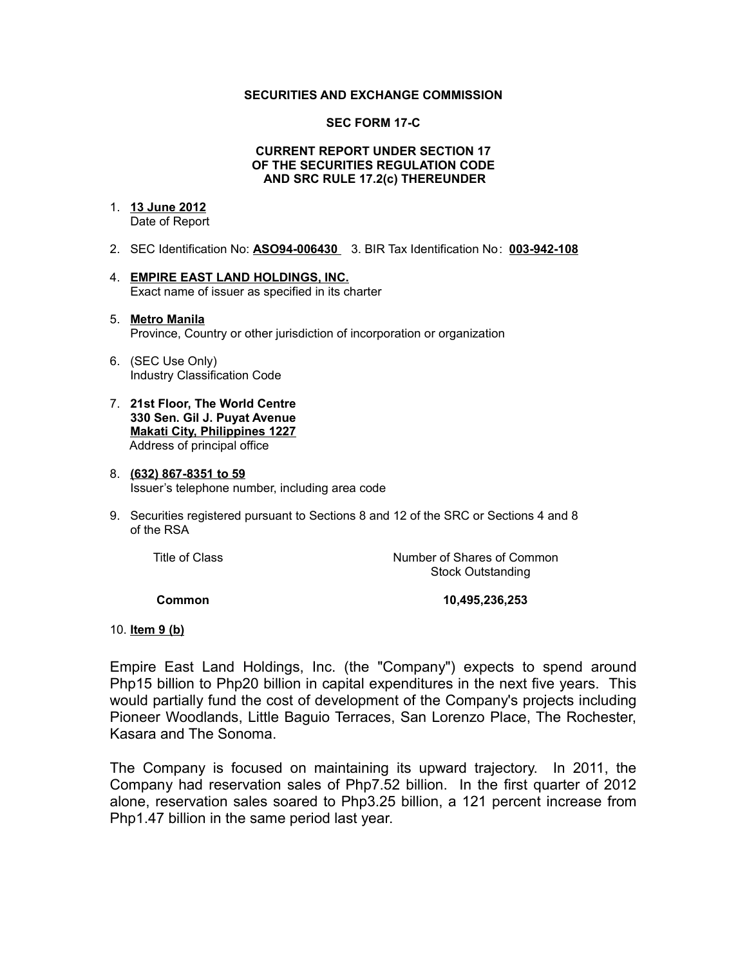## **SECURITIES AND EXCHANGE COMMISSION**

### **SEC FORM 17-C**

## **CURRENT REPORT UNDER SECTION 17 OF THE SECURITIES REGULATION CODE AND SRC RULE 17.2(c) THEREUNDER**

## 1. **13 June 2012**

Date of Report

- 2. SEC Identification No: **ASO94-006430** 3. BIR Tax Identification No: **003-942-108**
- 4. **EMPIRE EAST LAND HOLDINGS, INC.** Exact name of issuer as specified in its charter

#### 5. **Metro Manila** Province, Country or other jurisdiction of incorporation or organization

- 6. (SEC Use Only) Industry Classification Code
- 7. **21st Floor, The World Centre 330 Sen. Gil J. Puyat Avenue Makati City, Philippines 1227** Address of principal office

#### 8. **(632) 867-8351 to 59** Issuer's telephone number, including area code

9. Securities registered pursuant to Sections 8 and 12 of the SRC or Sections 4 and 8 of the RSA

Title of Class **Number of Shares of Common** Stock Outstanding

 **Common 10,495,236,253** 

## 10. **Item 9 (b)**

Empire East Land Holdings, Inc. (the "Company") expects to spend around Php15 billion to Php20 billion in capital expenditures in the next five years. This would partially fund the cost of development of the Company's projects including Pioneer Woodlands, Little Baguio Terraces, San Lorenzo Place, The Rochester, Kasara and The Sonoma.

The Company is focused on maintaining its upward trajectory. In 2011, the Company had reservation sales of Php7.52 billion. In the first quarter of 2012 alone, reservation sales soared to Php3.25 billion, a 121 percent increase from Php1.47 billion in the same period last year.